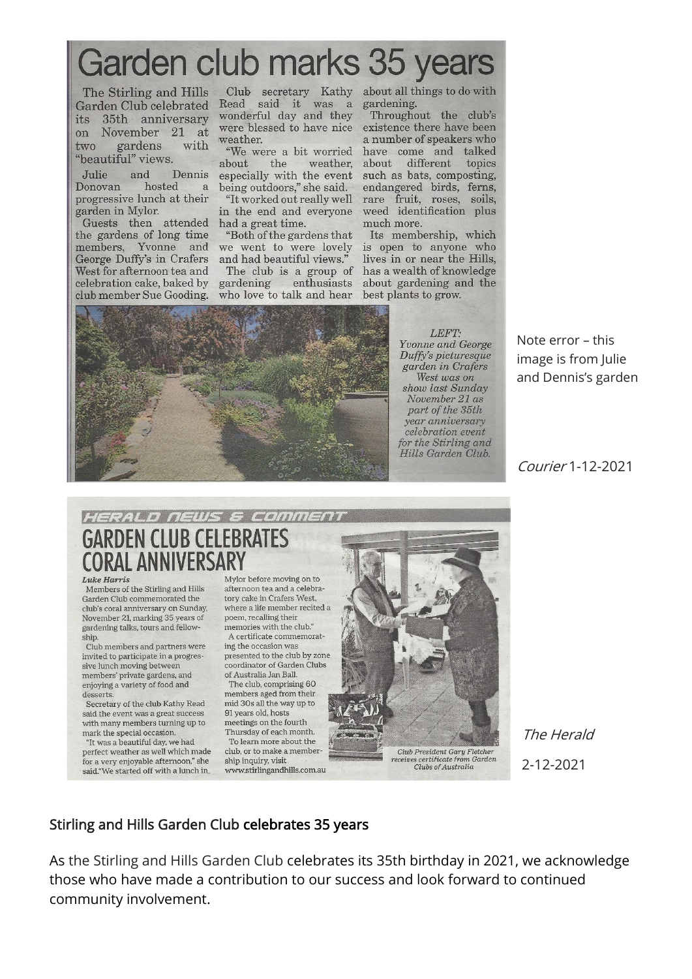## Garden club marks 35 years

 $its$ 35th anniversary November 21 at on gardens with two "beautiful" views.

**Julie** Donovan hosted a progressive lunch at their garden in Mylor.

Guests then attended<br>the gardens of long time members, Yvonne and George Duffy's in Crafers West for afternoon tea and celebration cake, baked by club member Sue Gooding.

The Stirling and Hills Club secretary Kathy about all things to do with Garden Club celebrated Read said it was a gardening. wonderful day and they were blessed to have nice weather.

> "We were a bit worried about the weather. and Dennis especially with the event being outdoors," she said.

in the end and everyone had a great time.

"Both of the gardens that we went to were lovely and had beautiful views."

The club is a group of gardening enthusiasts who love to talk and hear

Throughout the club's existence there have been a number of speakers who have come and talked about different topics such as bats, composting, endangered birds, ferns, "It worked out really well rare fruit, roses, soils, weed identification plus much more.

> Its membership, which is open to anyone who lives in or near the Hills, has a wealth of knowledge about gardening and the best plants to grow.



LEFT. Yvonne and George Duffy's picturesque garden in Crafers West was on show last Sunday November 21 as part of the 35th year anniversary celebration event for the Stirling and Hills Garden Club.

Note error - this image is from Julie and Dennis's garden

Courier 1-12-2021

## HERALD NEWS & COMMENT **GARDEN CLUB CELEBRATES CORAL ANNIVERSARY**

Luke Harris

Members of the Stirling and Hills Garden Club commemorated the club's coral anniversary on Sunday. November 21, marking 35 years of gardening talks, tours and fellowship.

Club members and partners were invited to participate in a progressive lunch moving between members' private gardens, and enjoying a variety of food and desserts

Secretary of the club Kathy Read said the event was a great success with many members turning up to mark the special occasion. "It was a beautiful day, we had

perfect weather as well which made for a very enjoyable afternoon," she said."We started off with a lunch in

Mylor before moving on to afternoon tea and a celebratory cake in Crafers West, where a life member recited a poem, recalling their memories with the club." A certificate commemorat-

ing the occasion was presented to the club by zone coordinator of Garden Clubs of Australia Jan Ball.

The club, comprising 60 members aged from their mid 30s all the way up to 91 years old, hosts meetings on the fourth Thursday of each month. To learn more about the club, or to make a member ship inquiry, visit www.stirlingandhills.com.au



Clubs of Australia

The Herald 2-12-2021

## Stirling and Hills Garden Club celebrates 35 years

As the Stirling and Hills Garden Club celebrates its 35th birthday in 2021, we acknowledge those who have made a contribution to our success and look forward to continued community involvement.